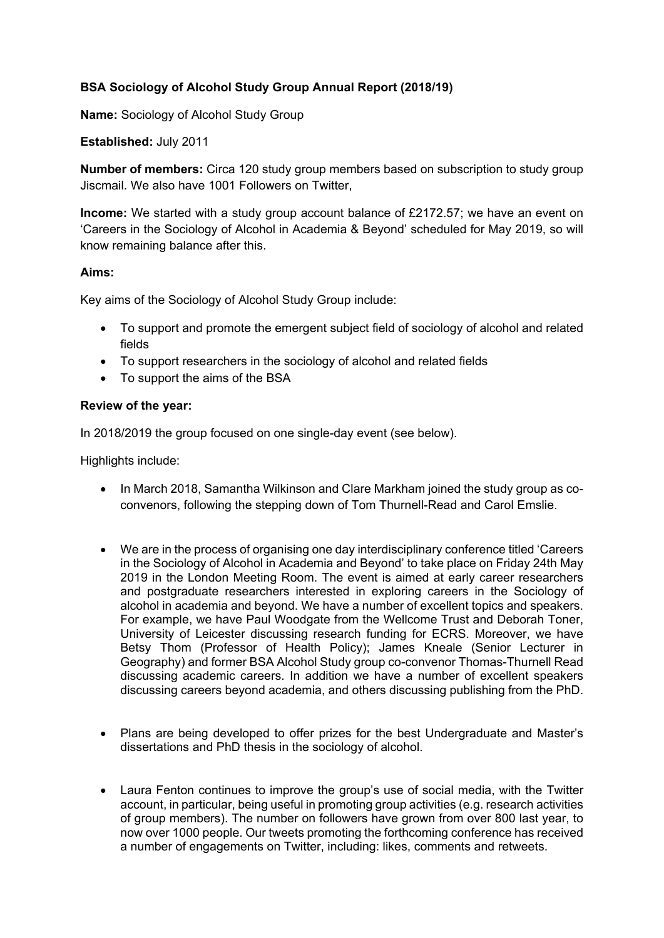# **BSA Sociology of Alcohol Study Group Annual Report (2018/19)**

**Name:** Sociology of Alcohol Study Group

### **Established:** July 2011

**Number of members:** Circa 120 study group members based on subscription to study group Jiscmail. We also have 1001 Followers on Twitter,

**Income:** We started with a study group account balance of £2172.57; we have an event on 'Careers in the Sociology of Alcohol in Academia & Beyond' scheduled for May 2019, so will know remaining balance after this.

#### **Aims:**

Key aims of the Sociology of Alcohol Study Group include:

- To support and promote the emergent subject field of sociology of alcohol and related fields
- To support researchers in the sociology of alcohol and related fields
- To support the aims of the BSA

#### **Review of the year:**

In 2018/2019 the group focused on one single-day event (see below).

Highlights include:

- In March 2018, Samantha Wilkinson and Clare Markham joined the study group as coconvenors, following the stepping down of Tom Thurnell-Read and Carol Emslie.
- We are in the process of organising one day interdisciplinary conference titled 'Careers in the Sociology of Alcohol in Academia and Beyond' to take place on Friday 24th May 2019 in the London Meeting Room. The event is aimed at early career researchers and postgraduate researchers interested in exploring careers in the Sociology of alcohol in academia and beyond. We have a number of excellent topics and speakers. For example, we have Paul Woodgate from the Wellcome Trust and Deborah Toner, University of Leicester discussing research funding for ECRS. Moreover, we have Betsy Thom (Professor of Health Policy); James Kneale (Senior Lecturer in Geography) and former BSA Alcohol Study group co-convenor Thomas-Thurnell Read discussing academic careers. In addition we have a number of excellent speakers discussing careers beyond academia, and others discussing publishing from the PhD.
- Plans are being developed to offer prizes for the best Undergraduate and Master's dissertations and PhD thesis in the sociology of alcohol.
- Laura Fenton continues to improve the group's use of social media, with the Twitter account, in particular, being useful in promoting group activities (e.g. research activities of group members). The number on followers have grown from over 800 last year, to now over 1000 people. Our tweets promoting the forthcoming conference has received a number of engagements on Twitter, including: likes, comments and retweets.